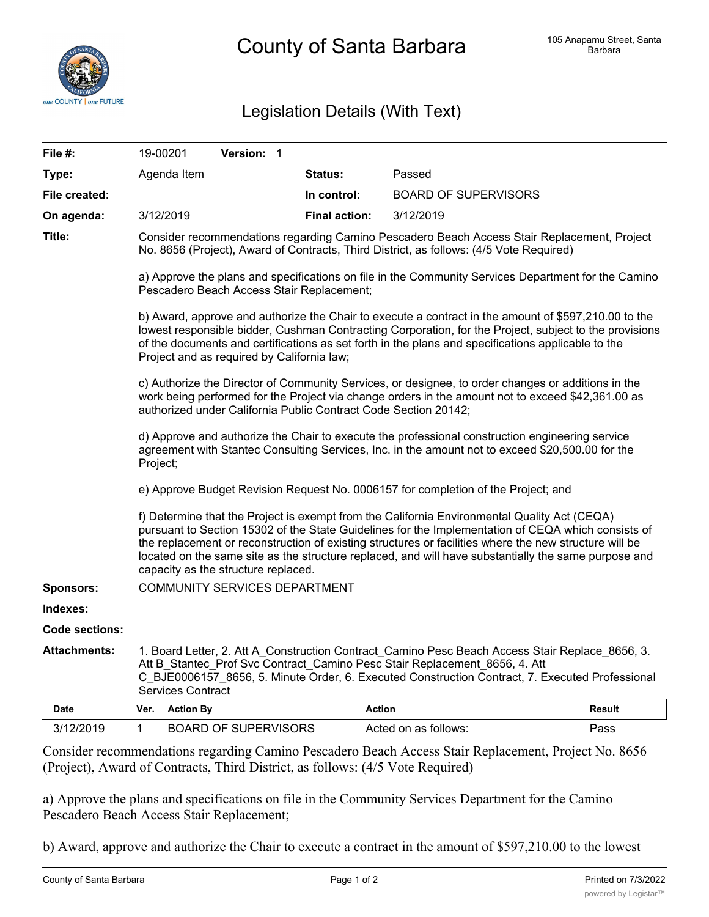

## Legislation Details (With Text)

| File #:             |                                                                                                                                                                                                                                                                                                                                                                                                                                                             | 19-00201         | Version: 1                  |  |                      |                             |        |
|---------------------|-------------------------------------------------------------------------------------------------------------------------------------------------------------------------------------------------------------------------------------------------------------------------------------------------------------------------------------------------------------------------------------------------------------------------------------------------------------|------------------|-----------------------------|--|----------------------|-----------------------------|--------|
| Type:               |                                                                                                                                                                                                                                                                                                                                                                                                                                                             | Agenda Item      |                             |  | <b>Status:</b>       | Passed                      |        |
| File created:       |                                                                                                                                                                                                                                                                                                                                                                                                                                                             |                  |                             |  | In control:          | <b>BOARD OF SUPERVISORS</b> |        |
| On agenda:          |                                                                                                                                                                                                                                                                                                                                                                                                                                                             | 3/12/2019        |                             |  | <b>Final action:</b> | 3/12/2019                   |        |
| Title:              | Consider recommendations regarding Camino Pescadero Beach Access Stair Replacement, Project<br>No. 8656 (Project), Award of Contracts, Third District, as follows: (4/5 Vote Required)                                                                                                                                                                                                                                                                      |                  |                             |  |                      |                             |        |
|                     | a) Approve the plans and specifications on file in the Community Services Department for the Camino<br>Pescadero Beach Access Stair Replacement;                                                                                                                                                                                                                                                                                                            |                  |                             |  |                      |                             |        |
|                     | b) Award, approve and authorize the Chair to execute a contract in the amount of \$597,210.00 to the<br>lowest responsible bidder, Cushman Contracting Corporation, for the Project, subject to the provisions<br>of the documents and certifications as set forth in the plans and specifications applicable to the<br>Project and as required by California law;                                                                                          |                  |                             |  |                      |                             |        |
|                     | c) Authorize the Director of Community Services, or designee, to order changes or additions in the<br>work being performed for the Project via change orders in the amount not to exceed \$42,361.00 as<br>authorized under California Public Contract Code Section 20142;                                                                                                                                                                                  |                  |                             |  |                      |                             |        |
|                     | d) Approve and authorize the Chair to execute the professional construction engineering service<br>agreement with Stantec Consulting Services, Inc. in the amount not to exceed \$20,500.00 for the<br>Project;                                                                                                                                                                                                                                             |                  |                             |  |                      |                             |        |
|                     | e) Approve Budget Revision Request No. 0006157 for completion of the Project; and                                                                                                                                                                                                                                                                                                                                                                           |                  |                             |  |                      |                             |        |
|                     | f) Determine that the Project is exempt from the California Environmental Quality Act (CEQA)<br>pursuant to Section 15302 of the State Guidelines for the Implementation of CEQA which consists of<br>the replacement or reconstruction of existing structures or facilities where the new structure will be<br>located on the same site as the structure replaced, and will have substantially the same purpose and<br>capacity as the structure replaced. |                  |                             |  |                      |                             |        |
| Sponsors:           | <b>COMMUNITY SERVICES DEPARTMENT</b>                                                                                                                                                                                                                                                                                                                                                                                                                        |                  |                             |  |                      |                             |        |
| Indexes:            |                                                                                                                                                                                                                                                                                                                                                                                                                                                             |                  |                             |  |                      |                             |        |
| Code sections:      |                                                                                                                                                                                                                                                                                                                                                                                                                                                             |                  |                             |  |                      |                             |        |
| <b>Attachments:</b> | 1. Board Letter, 2. Att A_Construction Contract_Camino Pesc Beach Access Stair Replace_8656, 3.<br>Att B Stantec Prof Svc Contract Camino Pesc Stair Replacement 8656, 4. Att<br>C BJE0006157 8656, 5. Minute Order, 6. Executed Construction Contract, 7. Executed Professional<br><b>Services Contract</b>                                                                                                                                                |                  |                             |  |                      |                             |        |
| Date                | Ver.                                                                                                                                                                                                                                                                                                                                                                                                                                                        | <b>Action By</b> |                             |  | <b>Action</b>        |                             | Result |
| 3/12/2019           | $\mathbf 1$                                                                                                                                                                                                                                                                                                                                                                                                                                                 |                  | <b>BOARD OF SUPERVISORS</b> |  |                      | Acted on as follows:        | Pass   |

Consider recommendations regarding Camino Pescadero Beach Access Stair Replacement, Project No. 8656 (Project), Award of Contracts, Third District, as follows: (4/5 Vote Required)

a) Approve the plans and specifications on file in the Community Services Department for the Camino Pescadero Beach Access Stair Replacement;

b) Award, approve and authorize the Chair to execute a contract in the amount of \$597,210.00 to the lowest